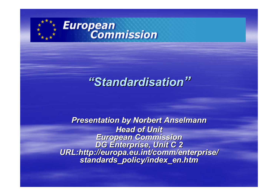

# *"Standardisation Standardisation"*

**Presentation by Norbert Anselmann** *Head of Unit Head of Unit*European Commission<br>DG Enterprise, Unit C 2<br>URL:http://europa.eu.int/comm/enterprise/<br>standards policy/index en.htm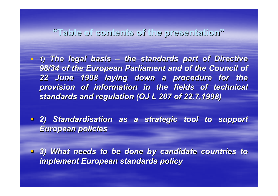#### **"Table of contents of the presentation Table of contents of the presentation"**

**1) The legal basis – the standards part of Directive the standards part of Directive 98/34 of the European Parliament and of the Council of** *22 June 1998 laying down a procedure for the 22 June 1998 laying down a procedure for the provision of information in the fields of technical* standards and regulation (OJ L 207 of 22.7.1998)

**2) Standardisation as a strategic tool to support** *European policies European policies*

 *3) What needs to be done by candidate countries to 3) What needs to be done by candidate countries to implement European standards policy implement European standards policy*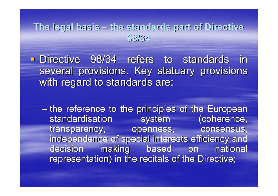#### **The legal basis The legal basis – the standards part of Directive the standards part of Directive 98/34**

**Directive 98/34 refers to standards in to standards** several provisions. Key statuary provisions. with regard to standards are:

– the reference to the principles of the European standardisation system (coherence, transparency, openness, consensus, independence of special interests efficiency and decision making based on national representation) in the recitals of the Directive;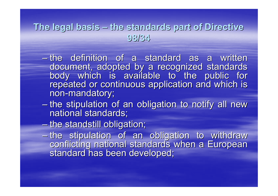#### **The legal basis The legal basis the standards part of Directive the standards part of Directive 98/34**

- $-$  the definition of a standard as a written document, adopted by a recognized standards<br>body which is available to the public for<br>repeated or continuous application and which is non-mandatory;
- the stipulation of an obligation to notify all new <br>national standards;
- $-$  the standstill obligation;
- he stipulation of an obligation to withdraw<br>conflicting national standards when a European<br>standard has been developed;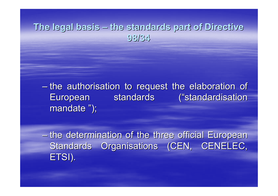#### **The legal basis The legal basis – the standards part of Directive the standards part of Directive 98/34**

 $-$  the authorisation to request the elaboration of European standards ("standardisation mandate ");

 $-$  the determination of the three official European Standards Organisations (CEN, CENELEC, ETSI).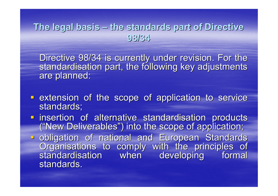### **The legal basis The legal basis – the standards part of Directive the standards part of Directive 98/34**

Directive 98/34 is currently under revision. For the standardisation part, the following key adjustments are planned:

- **Extension of the scope of application to service** standards;
- insertion of alternative standardisation products imative insertion of alternative standarding insertion of alternation products ("New Deliverables") into the scope of application;  $\blacksquare$
- obligation of national and European Standards Organisations to comply with the principles of<br>standardisation when developing formal<br>standards.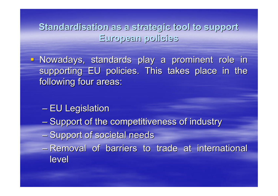**Standardisation Standardisation as a strategic tool to support as a strategic tool to support European policies European policies**

- Nowadays, standards play a prominent role in supporting EU policies. This takes place in the following four areas:

- EU Legislation
- $-$  Support of the competitiveness of industry
- Support of societal needs
- Removal of barriers to trade at international level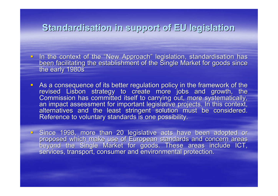#### **Standardisation in support Standardisation in support of EU legislation legislation**

- In the context of the "New Approach" legislation, standardisation has<br>been facilitating the establishment of the Single Market for goods since<br>the early 1980s
- L. As a consequence of its better regulation policy in the framework of the revised Lisbon strategy to create more jobs and growth, the<br>Commission has committed itself to carrying out, more systematically,<br>an impact assessment for important legislative projects. In this context, alternatives and the least stringent solution must be considered.<br>Reference to voluntary standards is one possibility.
- Since 1998, more than 20 legislative acts have been adopted or<br>proposed which make use of European standards and concern areas<br>beyond the Single Market for goods. These areas include ICT, services, transport, consumer and environmental protection.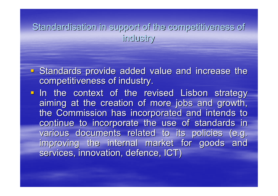Standardisation in support of the competitiveness of industry industry

- **Standards provide added value and increase the** competitiveness of industry.
- In the context of the revised Lisbon strategy aiming at the creation of more jobs and growth, the Commission has incorporated and intends to continue to incorporate the use of standards in various documents related to its policies (e.g. improving the internal market for goods and services, innovation, defence, ICT)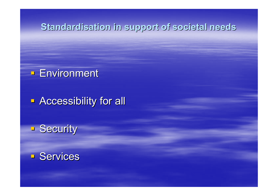#### **Standardisation in support of societal needs**

### **Environment**

## **- Accessibility for all**

**Security** 

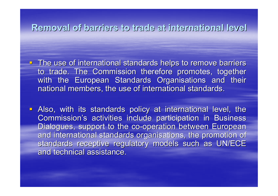**Removal Removal of barriers barriers to trade at international international level**

- **The use of international standards helps to remove barriers** to trade. The Commission therefore promotes, together with the European Standards Organisations and their national members, the use of international standards.
- **Also, with its standards policy at international level, the** Commission's activities include participation in Business Dialogues, support to the co-operation between European and international standards organisations, the promotion of standards receptive regulatory models such as UN/ECE and technical assistance.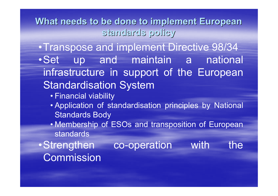What needs to be done to implement European **standards policy standards policy**

•Transpose and implement Directive 98/34 •Set up and maintain a national infrastructure in support of the European Standardisation System

- Financial viability
- Application of standardisation principles by National Standards Body
- Membership of ESOs and transposition of European standards
- •Strengthen co-operation with the Commission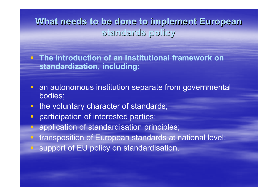What needs to be done to implement European **standards policy standards policy**

 **The introduction of an institutional framework on standardization, including:**

- **an autonomous institution separate from governmental** bodies;
- **the voluntary character of standards;**
- participation of interested parties;
- application of standardisation principles;
- **The transposition of European standards at national level;**
- support of EU policy on standardisation.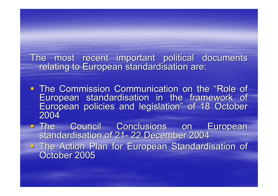The most recent important political documents relating to European standardisation are:

- **The Commission Communication on the "Role of "** European standardisation in the framework of European policies and legislation" of 18 October 2004
- The Council Conclusions on European<br>Standardisation of 21-22 December 2004 standardisation of 21- 22 December 2004
- The Action Plan for European Standardisation of Cortober 2005 October 2005